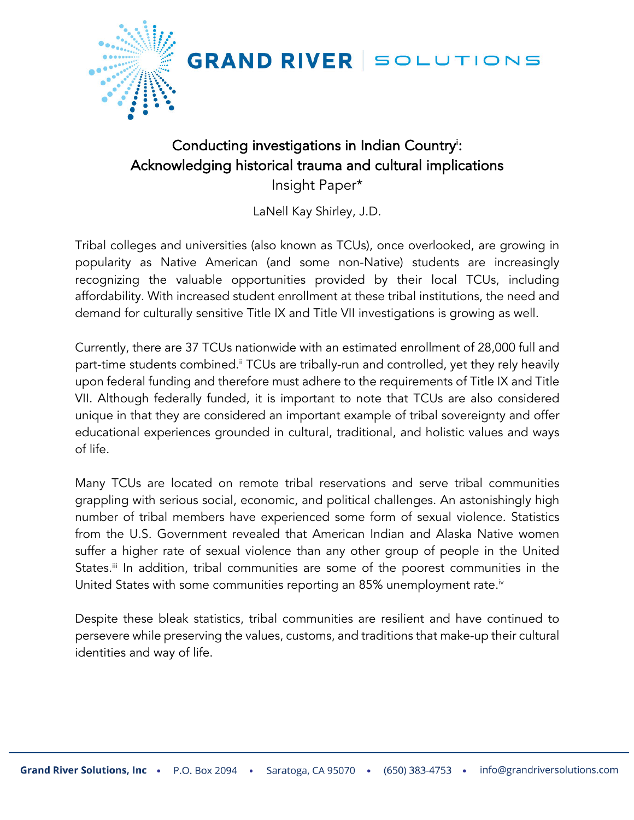

**GRAND RIVER SOLUTIONS** 

## Conducting investigations in Indian Country<sup>i</sup>: Acknowledging historical trauma and cultural implications Insight Paper\*

LaNell Kay Shirley, J.D.

Tribal colleges and universities (also known as TCUs), once overlooked, are growing in popularity as Native American (and some non-Native) students are increasingly recognizing the valuable opportunities provided by their local TCUs, including affordability. With increased student enrollment at these tribal institutions, the need and demand for culturally sensitive Title IX and Title VII investigations is growing as well.

Currently, there are 37 TCUs nationwide with an estimated enrollment of 28,000 full and part-time students combined.<sup>ii</sup> TCUs are tribally-run and controlled, yet they rely heavily upon federal funding and therefore must adhere to the requirements of Title IX and Title VII. Although federally funded, it is important to note that TCUs are also considered unique in that they are considered an important example of tribal sovereignty and offer educational experiences grounded in cultural, traditional, and holistic values and ways of life.

Many TCUs are located on remote tribal reservations and serve tribal communities grappling with serious social, economic, and political challenges. An astonishingly high number of tribal members have experienced some form of sexual violence. Statistics from the U.S. Government revealed that American Indian and Alaska Native women suffer a higher rate of sexual violence than any other group of people in the United States.<sup>ii</sup> In addition, tribal communities are some of the poorest communities in the United States with some communities reporting an 85% unemployment rate.<sup>iv</sup>

Despite these bleak statistics, tribal communities are resilient and have continued to persevere while preserving the values, customs, and traditions that make-up their cultural identities and way of life.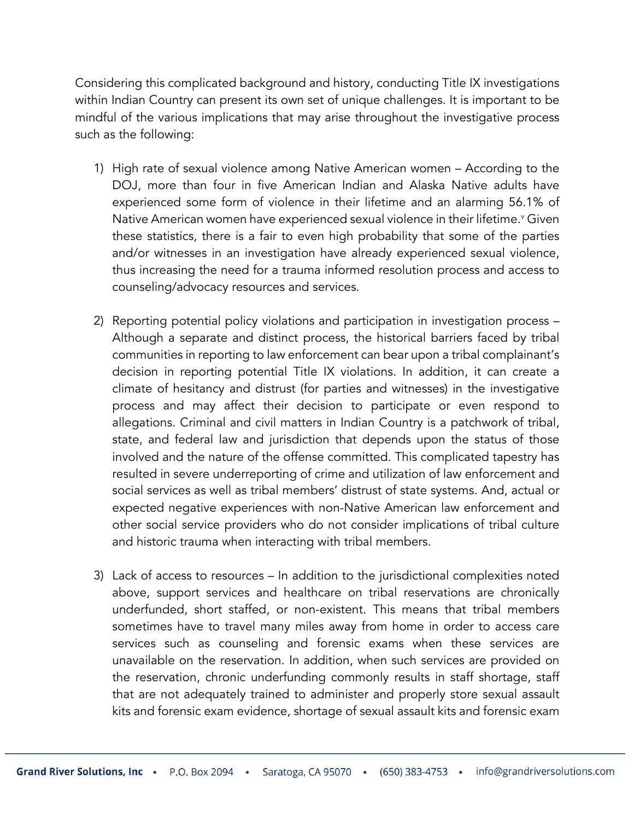Considering this complicated background and history, conducting Title IX investigations within Indian Country can present its own set of unique challenges. It is important to be mindful of the various implications that may arise throughout the investigative process such as the following:

- 1) High rate of sexual violence among Native American women According to the DOJ, more than four in five American Indian and Alaska Native adults have experienced some form of violence in their lifetime and an alarming 56.1% of Native American women have experienced sexual violence in their lifetime.<sup>v</sup> Given these statistics, there is a fair to even high probability that some of the parties and/or witnesses in an investigation have already experienced sexual violence, thus increasing the need for a trauma informed resolution process and access to counseling/advocacy resources and services.
- 2) Reporting potential policy violations and participation in investigation process Although a separate and distinct process, the historical barriers faced by tribal communities in reporting to law enforcement can bear upon a tribal complainant's decision in reporting potential Title IX violations. In addition, it can create a climate of hesitancy and distrust (for parties and witnesses) in the investigative process and may affect their decision to participate or even respond to allegations. Criminal and civil matters in Indian Country is a patchwork of tribal, state, and federal law and jurisdiction that depends upon the status of those involved and the nature of the offense committed. This complicated tapestry has resulted in severe underreporting of crime and utilization of law enforcement and social services as well as tribal members' distrust of state systems. And, actual or expected negative experiences with non-Native American law enforcement and other social service providers who do not consider implications of tribal culture and historic trauma when interacting with tribal members.
- 3) Lack of access to resources In addition to the jurisdictional complexities noted above, support services and healthcare on tribal reservations are chronically underfunded, short staffed, or non-existent. This means that tribal members sometimes have to travel many miles away from home in order to access care services such as counseling and forensic exams when these services are unavailable on the reservation. In addition, when such services are provided on the reservation, chronic underfunding commonly results in staff shortage, staff that are not adequately trained to administer and properly store sexual assault kits and forensic exam evidence, shortage of sexual assault kits and forensic exam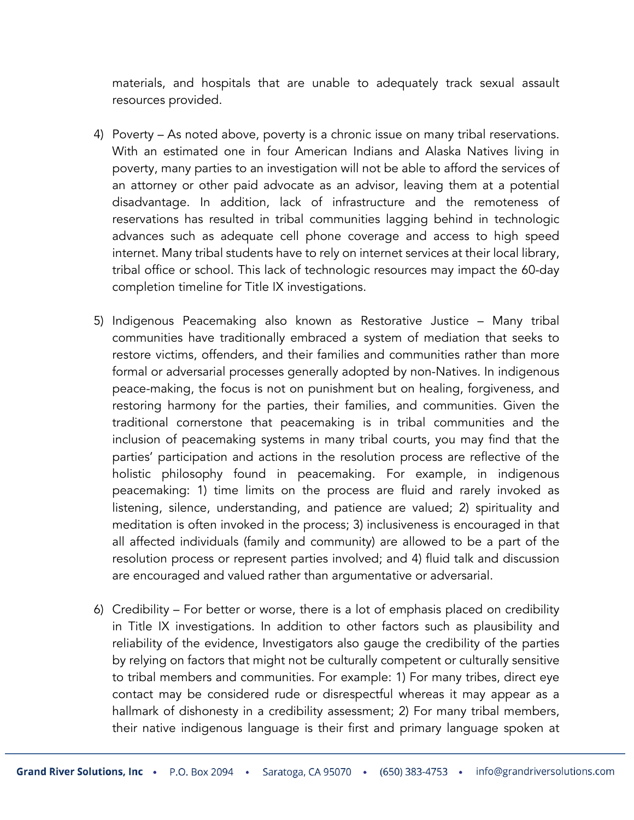materials, and hospitals that are unable to adequately track sexual assault resources provided.

- 4) Poverty As noted above, poverty is a chronic issue on many tribal reservations. With an estimated one in four American Indians and Alaska Natives living in poverty, many parties to an investigation will not be able to afford the services of an attorney or other paid advocate as an advisor, leaving them at a potential disadvantage. In addition, lack of infrastructure and the remoteness of reservations has resulted in tribal communities lagging behind in technologic advances such as adequate cell phone coverage and access to high speed internet. Many tribal students have to rely on internet services at their local library, tribal office or school. This lack of technologic resources may impact the 60-day completion timeline for Title IX investigations.
- 5) Indigenous Peacemaking also known as Restorative Justice Many tribal communities have traditionally embraced a system of mediation that seeks to restore victims, offenders, and their families and communities rather than more formal or adversarial processes generally adopted by non-Natives. In indigenous peace-making, the focus is not on punishment but on healing, forgiveness, and restoring harmony for the parties, their families, and communities. Given the traditional cornerstone that peacemaking is in tribal communities and the inclusion of peacemaking systems in many tribal courts, you may find that the parties' participation and actions in the resolution process are reflective of the holistic philosophy found in peacemaking. For example, in indigenous peacemaking: 1) time limits on the process are fluid and rarely invoked as listening, silence, understanding, and patience are valued; 2) spirituality and meditation is often invoked in the process; 3) inclusiveness is encouraged in that all affected individuals (family and community) are allowed to be a part of the resolution process or represent parties involved; and 4) fluid talk and discussion are encouraged and valued rather than argumentative or adversarial.
- 6) Credibility For better or worse, there is a lot of emphasis placed on credibility in Title IX investigations. In addition to other factors such as plausibility and reliability of the evidence, Investigators also gauge the credibility of the parties by relying on factors that might not be culturally competent or culturally sensitive to tribal members and communities. For example: 1) For many tribes, direct eye contact may be considered rude or disrespectful whereas it may appear as a hallmark of dishonesty in a credibility assessment; 2) For many tribal members, their native indigenous language is their first and primary language spoken at